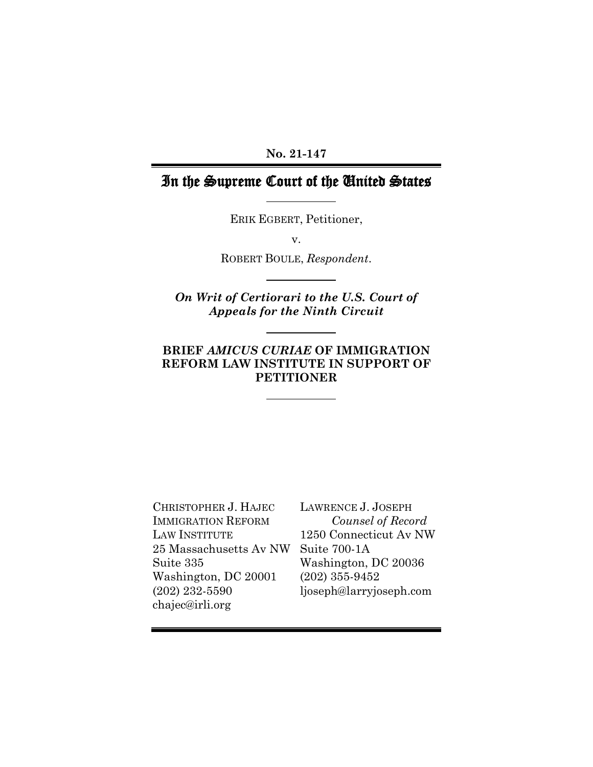### **No. 21-147**

# In the Supreme Court of the United States

ERIK EGBERT, Petitioner,

v.

ROBERT BOULE, *Respondent*.

*On Writ of Certiorari to the U.S. Court of Appeals for the Ninth Circuit*

# **BRIEF** *AMICUS CURIAE* **OF IMMIGRATION REFORM LAW INSTITUTE IN SUPPORT OF PETITIONER**

CHRISTOPHER J. HAJEC IMMIGRATION REFORM LAW INSTITUTE 25 Massachusetts Av NW Suite 335 Washington, DC 20001 (202) 232-5590 [chajec@irli.org](mailto:chajec@irli.org)

LAWRENCE J. JOSEPH *Counsel of Record* 1250 Connecticut Av NW Suite 700-1A Washington, DC 20036 (202) 355-9452 ljoseph@larryjoseph.com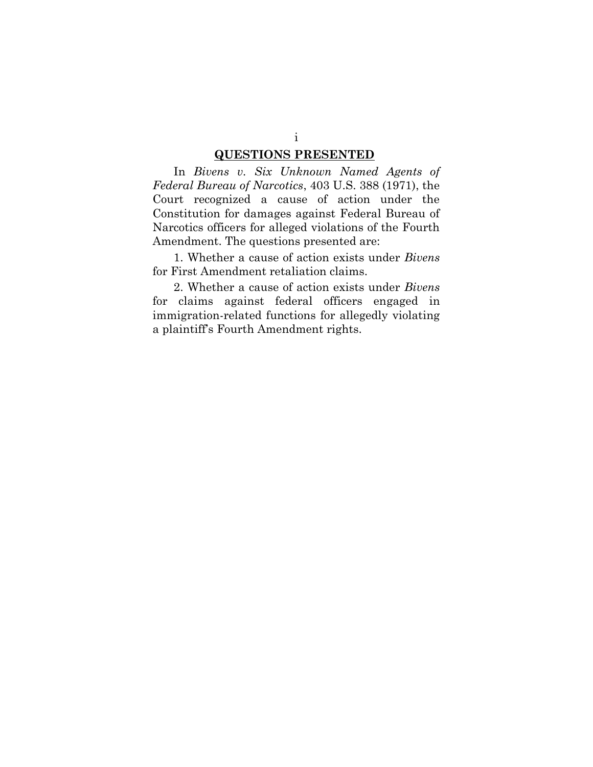### **QUESTIONS PRESENTED**

In *Bivens v. Six Unknown Named Agents of Federal Bureau of Narcotics*, 403 U.S. 388 (1971), the Court recognized a cause of action under the Constitution for damages against Federal Bureau of Narcotics officers for alleged violations of the Fourth Amendment. The questions presented are:

1. Whether a cause of action exists under *Bivens* for First Amendment retaliation claims.

2. Whether a cause of action exists under *Bivens* for claims against federal officers engaged in immigration-related functions for allegedly violating a plaintiff's Fourth Amendment rights.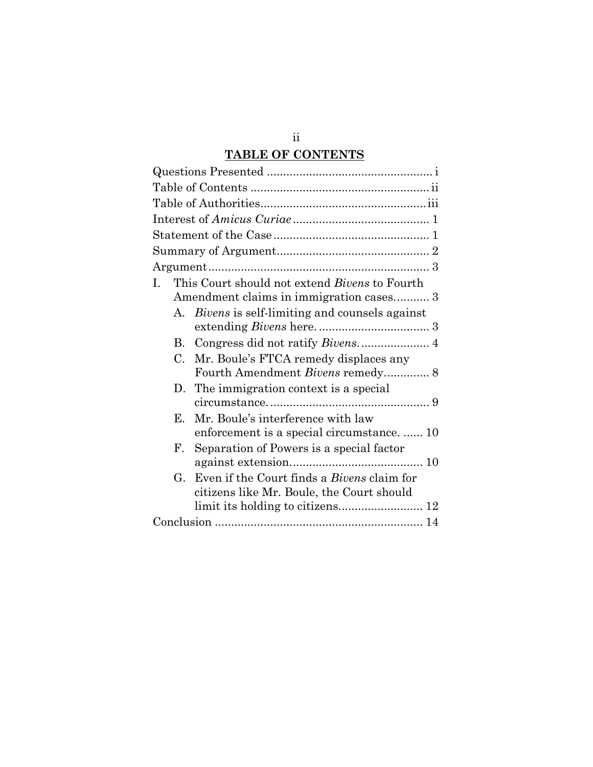# **TABLE OF CONTENTS**

| L. | This Court should not extend <i>Bivens</i> to Fourth |                                                   |  |  |
|----|------------------------------------------------------|---------------------------------------------------|--|--|
|    | Amendment claims in immigration cases 3              |                                                   |  |  |
|    |                                                      | A. Bivens is self-limiting and counsels against   |  |  |
|    |                                                      |                                                   |  |  |
|    | В.                                                   | Congress did not ratify Bivens 4                  |  |  |
|    | $C_{\cdot}$                                          | Mr. Boule's FTCA remedy displaces any             |  |  |
|    |                                                      | Fourth Amendment Bivens remedy 8                  |  |  |
|    | D.                                                   | The immigration context is a special              |  |  |
|    |                                                      |                                                   |  |  |
|    | Е.                                                   | Mr. Boule's interference with law                 |  |  |
|    |                                                      | enforcement is a special circumstance.  10        |  |  |
|    | F.                                                   | Separation of Powers is a special factor          |  |  |
|    |                                                      |                                                   |  |  |
|    | G.                                                   | Even if the Court finds a <i>Bivens</i> claim for |  |  |
|    |                                                      | citizens like Mr. Boule, the Court should         |  |  |
|    |                                                      |                                                   |  |  |
|    |                                                      |                                                   |  |  |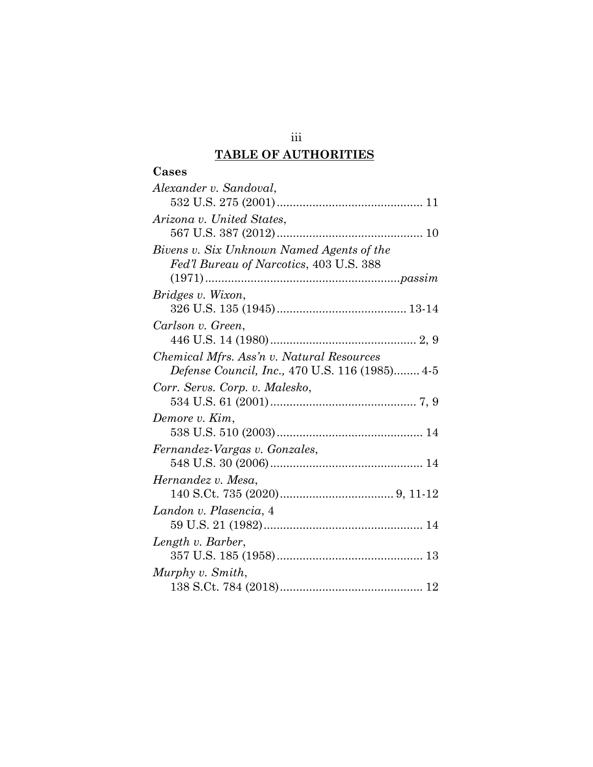# **TABLE OF AUTHORITIES**

| Cases                                                 |  |  |  |
|-------------------------------------------------------|--|--|--|
| Alexander v. Sandoval,                                |  |  |  |
|                                                       |  |  |  |
| Arizona v. United States,                             |  |  |  |
|                                                       |  |  |  |
| Bivens v. Six Unknown Named Agents of the             |  |  |  |
| Fed'l Bureau of Narcotics, 403 U.S. 388               |  |  |  |
|                                                       |  |  |  |
| Bridges v. Wixon,                                     |  |  |  |
|                                                       |  |  |  |
| Carlson v. Green,                                     |  |  |  |
|                                                       |  |  |  |
| Chemical Mfrs. Ass'n v. Natural Resources             |  |  |  |
| <i>Defense Council, Inc., 470 U.S. 116 (1985)</i> 4-5 |  |  |  |
| Corr. Servs. Corp. v. Malesko,                        |  |  |  |
| Demore v. Kim,                                        |  |  |  |
|                                                       |  |  |  |
| Fernandez-Vargas v. Gonzales,                         |  |  |  |
|                                                       |  |  |  |
| Hernandez v. Mesa,                                    |  |  |  |
|                                                       |  |  |  |
| Landon v. Plasencia, 4                                |  |  |  |
|                                                       |  |  |  |
| Length v. Barber,                                     |  |  |  |
|                                                       |  |  |  |
| Murphy v. Smith,                                      |  |  |  |
|                                                       |  |  |  |

iii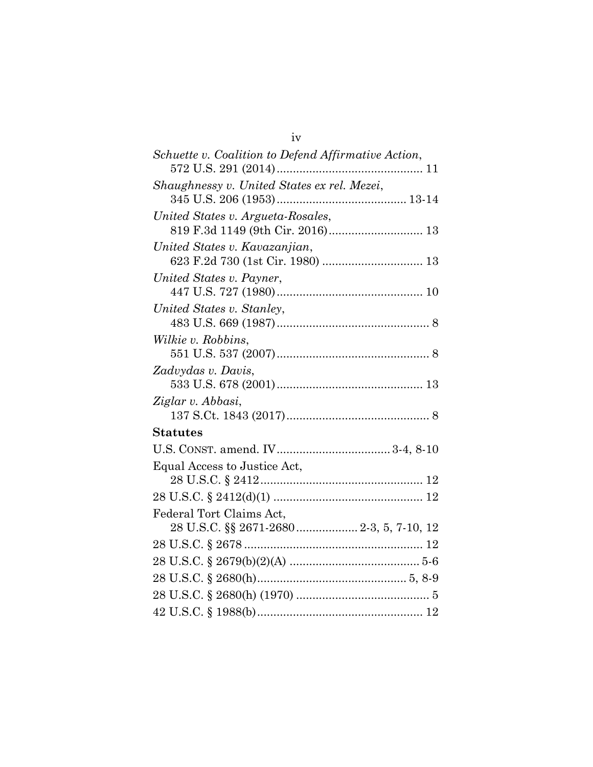| Schuette v. Coalition to Defend Affirmative Action,                   |
|-----------------------------------------------------------------------|
| Shaughnessy v. United States ex rel. Mezei,                           |
|                                                                       |
|                                                                       |
| United States v. Argueta-Rosales,<br>819 F.3d 1149 (9th Cir. 2016) 13 |
|                                                                       |
| United States v. Kavazanjian,                                         |
|                                                                       |
| United States v. Payner,                                              |
|                                                                       |
| United States v. Stanley,                                             |
|                                                                       |
| Wilkie v. Robbins,                                                    |
|                                                                       |
| Zadvydas v. Davis,                                                    |
|                                                                       |
| Ziglar v. Abbasi,                                                     |
|                                                                       |
| Statutes                                                              |
|                                                                       |
| Equal Access to Justice Act,                                          |
|                                                                       |
|                                                                       |
| Federal Tort Claims Act,                                              |
| 28 U.S.C. §§ 2671-2680 2-3, 5, 7-10, 12                               |
|                                                                       |
|                                                                       |
|                                                                       |
|                                                                       |
|                                                                       |
|                                                                       |

iv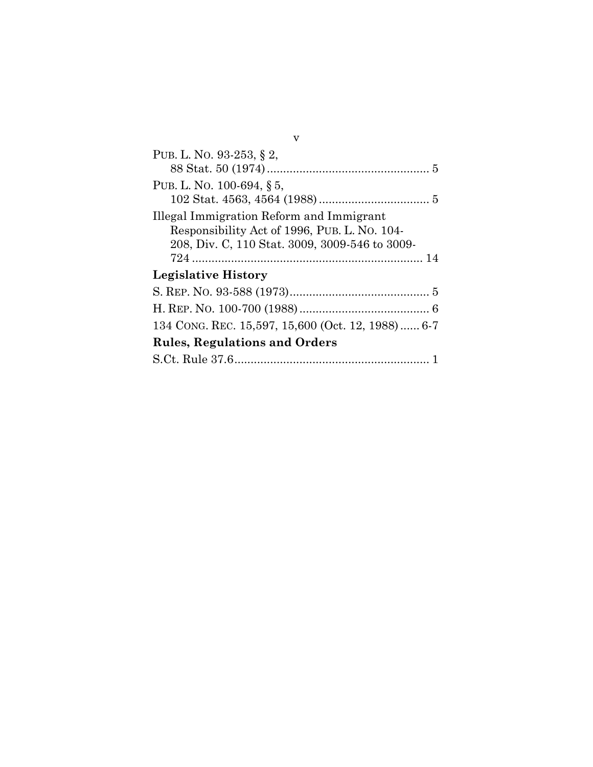| PUB. L. NO. 93-253, § 2,                                                                      |  |  |  |
|-----------------------------------------------------------------------------------------------|--|--|--|
| PUB. L. NO. 100-694, § 5,                                                                     |  |  |  |
|                                                                                               |  |  |  |
| Illegal Immigration Reform and Immigrant                                                      |  |  |  |
| Responsibility Act of 1996, PUB. L. No. 104<br>208, Div. C, 110 Stat. 3009, 3009-546 to 3009- |  |  |  |
|                                                                                               |  |  |  |
| Legislative History                                                                           |  |  |  |
|                                                                                               |  |  |  |
|                                                                                               |  |  |  |
| 134 CONG. REC. 15,597, 15,600 (Oct. 12, 1988) 6-7                                             |  |  |  |
| <b>Rules, Regulations and Orders</b>                                                          |  |  |  |
|                                                                                               |  |  |  |

v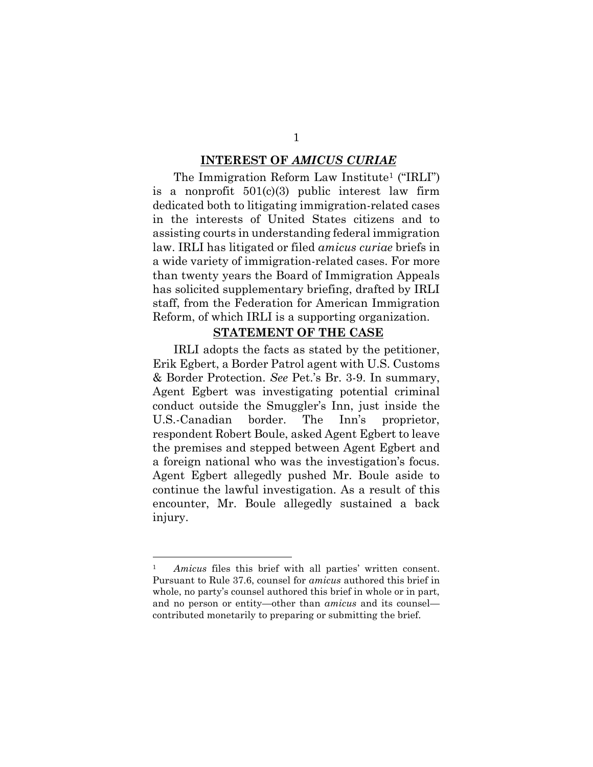#### **INTEREST OF** *AMICUS CURIAE*

The Immigration Reform Law Institute<sup>1</sup> ("IRLI") is a nonprofit  $501(c)(3)$  public interest law firm dedicated both to litigating immigration-related cases in the interests of United States citizens and to assisting courts in understanding federal immigration law. IRLI has litigated or filed *amicus curiae* briefs in a wide variety of immigration-related cases. For more than twenty years the Board of Immigration Appeals has solicited supplementary briefing, drafted by IRLI staff, from the Federation for American Immigration Reform, of which IRLI is a supporting organization.

#### **STATEMENT OF THE CASE**

IRLI adopts the facts as stated by the petitioner, Erik Egbert, a Border Patrol agent with U.S. Customs & Border Protection. *See* Pet.'s Br. 3-9. In summary, Agent Egbert was investigating potential criminal conduct outside the Smuggler's Inn, just inside the U.S.-Canadian border. The Inn's proprietor, respondent Robert Boule, asked Agent Egbert to leave the premises and stepped between Agent Egbert and a foreign national who was the investigation's focus. Agent Egbert allegedly pushed Mr. Boule aside to continue the lawful investigation. As a result of this encounter, Mr. Boule allegedly sustained a back injury.

<sup>1</sup> *Amicus* files this brief with all parties' written consent. Pursuant to Rule 37.6, counsel for *amicus* authored this brief in whole, no party's counsel authored this brief in whole or in part, and no person or entity—other than *amicus* and its counsel contributed monetarily to preparing or submitting the brief.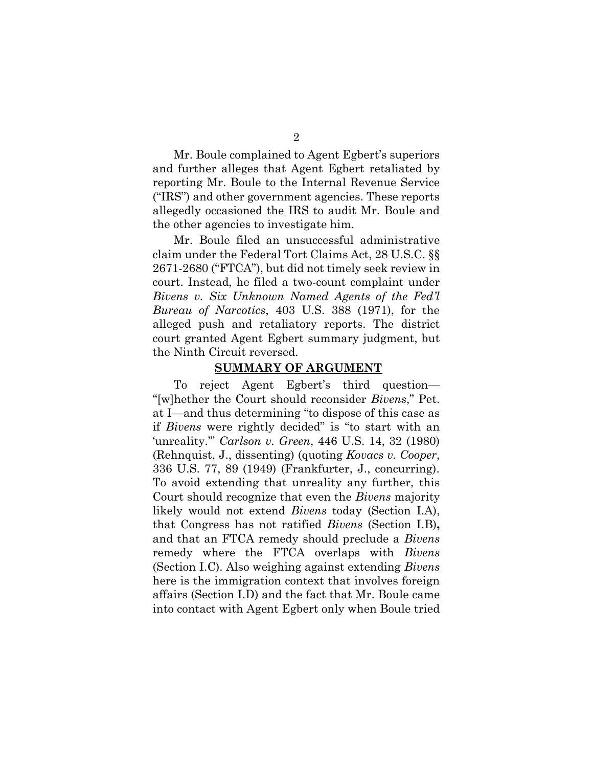Mr. Boule complained to Agent Egbert's superiors and further alleges that Agent Egbert retaliated by reporting Mr. Boule to the Internal Revenue Service ("IRS") and other government agencies. These reports allegedly occasioned the IRS to audit Mr. Boule and the other agencies to investigate him.

Mr. Boule filed an unsuccessful administrative claim under the Federal Tort Claims Act, 28 U.S.C. §§ 2671-2680 ("FTCA"), but did not timely seek review in court. Instead, he filed a two-count complaint under *Bivens v. Six Unknown Named Agents of the Fed'l Bureau of Narcotics*, 403 U.S. 388 (1971), for the alleged push and retaliatory reports. The district court granted Agent Egbert summary judgment, but the Ninth Circuit reversed.

### **SUMMARY OF ARGUMENT**

To reject Agent Egbert's third question— "[w]hether the Court should reconsider *Bivens*," Pet. at I—and thus determining "to dispose of this case as if *Bivens* were rightly decided" is "to start with an 'unreality.'" *Carlson v. Green*, 446 U.S. 14, 32 (1980) (Rehnquist, J., dissenting) (quoting *Kovacs v. Cooper*, 336 U.S. 77, 89 (1949) (Frankfurter, J., concurring). To avoid extending that unreality any further, this Court should recognize that even the *Bivens* majority likely would not extend *Bivens* today (Section [I.A\)](#page-8-0), that Congress has not ratified *Bivens* (Section [I.B\)](#page-9-0)**,** and that an FTCA remedy should preclude a *Bivens* remedy where the FTCA overlaps with *Bivens* (Section [I.C\)](#page-13-0). Also weighing against extending *Bivens* here is the immigration context that involves foreign affairs (Section [I.D\)](#page-14-0) and the fact that Mr. Boule came into contact with Agent Egbert only when Boule tried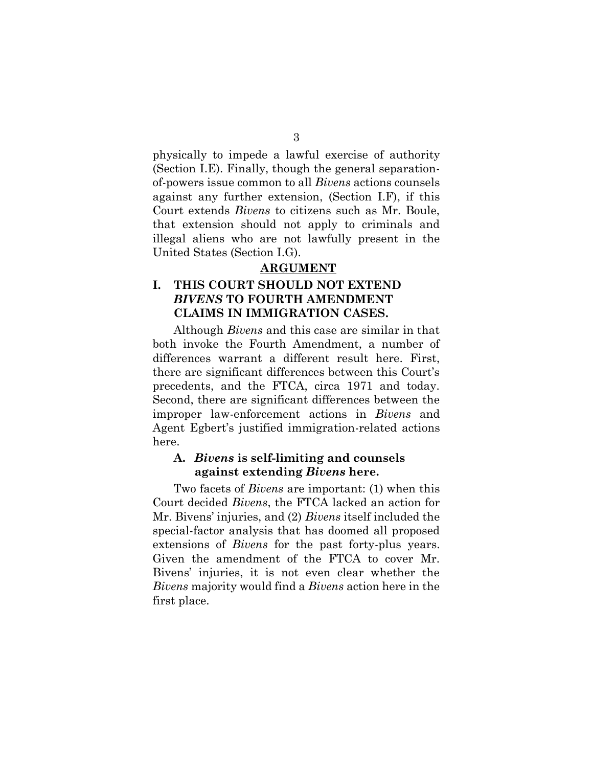physically to impede a lawful exercise of authority (Section [I.E\)](#page-15-0). Finally, though the general separationof-powers issue common to all *Bivens* actions counsels against any further extension, (Section [I.F\)](#page-15-1), if this Court extends *Bivens* to citizens such as Mr. Boule, that extension should not apply to criminals and illegal aliens who are not lawfully present in the United States (Section [I.G\)](#page-17-0).

### **ARGUMENT**

# **I. THIS COURT SHOULD NOT EXTEND**  *BIVENS* **TO FOURTH AMENDMENT CLAIMS IN IMMIGRATION CASES.**

Although *Bivens* and this case are similar in that both invoke the Fourth Amendment, a number of differences warrant a different result here. First, there are significant differences between this Court's precedents, and the FTCA, circa 1971 and today. Second, there are significant differences between the improper law-enforcement actions in *Bivens* and Agent Egbert's justified immigration-related actions here.

## <span id="page-8-0"></span>**A.** *Bivens* **is self-limiting and counsels against extending** *Bivens* **here.**

Two facets of *Bivens* are important: (1) when this Court decided *Bivens*, the FTCA lacked an action for Mr. Bivens' injuries, and (2) *Bivens* itself included the special-factor analysis that has doomed all proposed extensions of *Bivens* for the past forty-plus years. Given the amendment of the FTCA to cover Mr. Bivens' injuries, it is not even clear whether the *Bivens* majority would find a *Bivens* action here in the first place.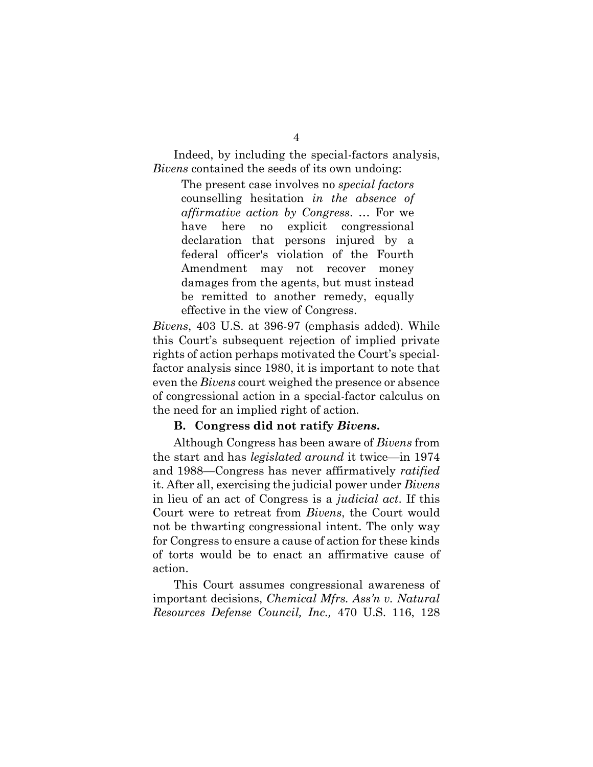Indeed, by including the special-factors analysis, *Bivens* contained the seeds of its own undoing:

The present case involves no *special factors* counselling hesitation *in the absence of affirmative action by Congress*. … For we have here no explicit congressional declaration that persons injured by a federal officer's violation of the Fourth Amendment may not recover money damages from the agents, but must instead be remitted to another remedy, equally effective in the view of Congress.

*Bivens*, 403 U.S. at 396-97 (emphasis added). While this Court's subsequent rejection of implied private rights of action perhaps motivated the Court's specialfactor analysis since 1980, it is important to note that even the *Bivens* court weighed the presence or absence of congressional action in a special-factor calculus on the need for an implied right of action.

### **B. Congress did not ratify** *Bivens***.**

<span id="page-9-0"></span>Although Congress has been aware of *Bivens* from the start and has *legislated around* it twice—in 1974 and 1988—Congress has never affirmatively *ratified* it. After all, exercising the judicial power under *Bivens* in lieu of an act of Congress is a *judicial act*. If this Court were to retreat from *Bivens*, the Court would not be thwarting congressional intent. The only way for Congress to ensure a cause of action for these kinds of torts would be to enact an affirmative cause of action.

This Court assumes congressional awareness of important decisions, *Chemical Mfrs. Ass'n v. Natural Resources Defense Council, Inc.,* 470 U.S. 116, 128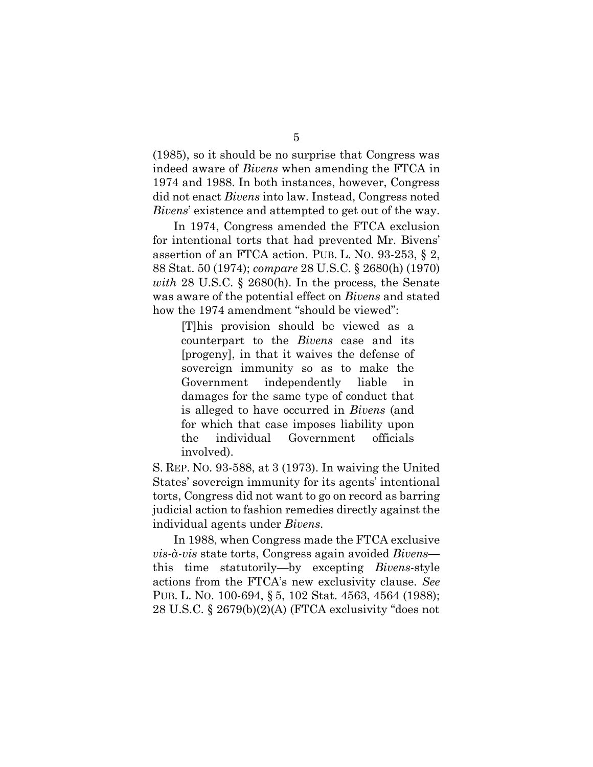(1985), so it should be no surprise that Congress was indeed aware of *Bivens* when amending the FTCA in 1974 and 1988. In both instances, however, Congress did not enact *Bivens* into law. Instead, Congress noted *Bivens*' existence and attempted to get out of the way.

In 1974, Congress amended the FTCA exclusion for intentional torts that had prevented Mr. Bivens' assertion of an FTCA action. PUB. L. NO. 93-253, § 2, 88 Stat. 50 (1974); *compare* 28 U.S.C. § 2680(h) (1970) *with* 28 U.S.C. § 2680(h). In the process, the Senate was aware of the potential effect on *Bivens* and stated how the 1974 amendment "should be viewed":

[T]his provision should be viewed as a counterpart to the *Bivens* case and its [progeny], in that it waives the defense of sovereign immunity so as to make the Government independently liable in damages for the same type of conduct that is alleged to have occurred in *Bivens* (and for which that case imposes liability upon the individual Government officials involved).

S. REP. NO. 93-588, at 3 (1973). In waiving the United States' sovereign immunity for its agents' intentional torts, Congress did not want to go on record as barring judicial action to fashion remedies directly against the individual agents under *Bivens*.

In 1988, when Congress made the FTCA exclusive *vis-à-vis* state torts, Congress again avoided *Bivens* this time statutorily—by excepting *Bivens*-style actions from the FTCA's new exclusivity clause. *See* PUB. L. NO. 100-694, § 5, 102 Stat. 4563, 4564 (1988); 28 U.S.C. § 2679(b)(2)(A) (FTCA exclusivity "does not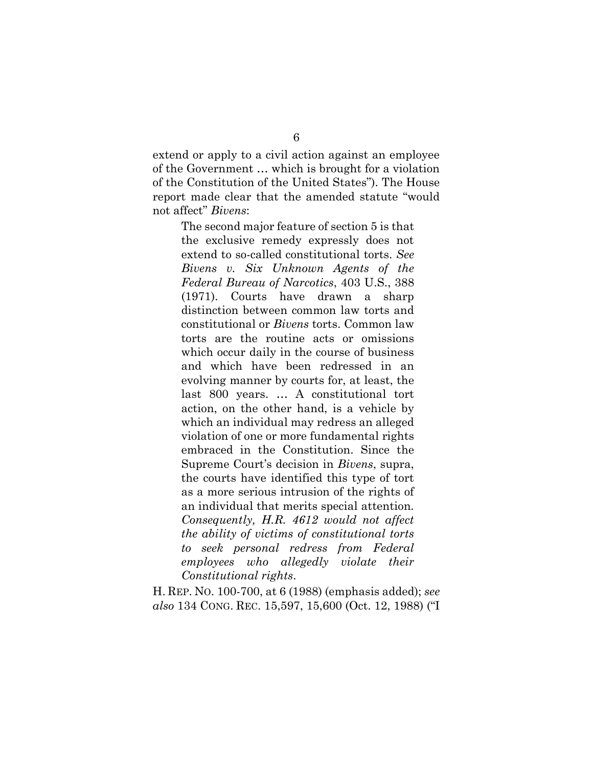extend or apply to a civil action against an employee of the Government … which is brought for a violation of the Constitution of the United States"). The House report made clear that the amended statute "would not affect" *Bivens*:

The second major feature of section 5 is that the exclusive remedy expressly does not extend to so-called constitutional torts. *See Bivens v. Six Unknown Agents of the Federal Bureau of Narcotics*, 403 U.S., 388 (1971). Courts have drawn a sharp distinction between common law torts and constitutional or *Bivens* torts. Common law torts are the routine acts or omissions which occur daily in the course of business and which have been redressed in an evolving manner by courts for, at least, the last 800 years. … A constitutional tort action, on the other hand, is a vehicle by which an individual may redress an alleged violation of one or more fundamental rights embraced in the Constitution. Since the Supreme Court's decision in *Bivens*, supra, the courts have identified this type of tort as a more serious intrusion of the rights of an individual that merits special attention. *Consequently, H.R. 4612 would not affect the ability of victims of constitutional torts to seek personal redress from Federal employees who allegedly violate their Constitutional rights*.

H. REP. NO. 100-700, at 6 (1988) (emphasis added); *see also* 134 CONG. REC. 15,597, 15,600 (Oct. 12, 1988) ("I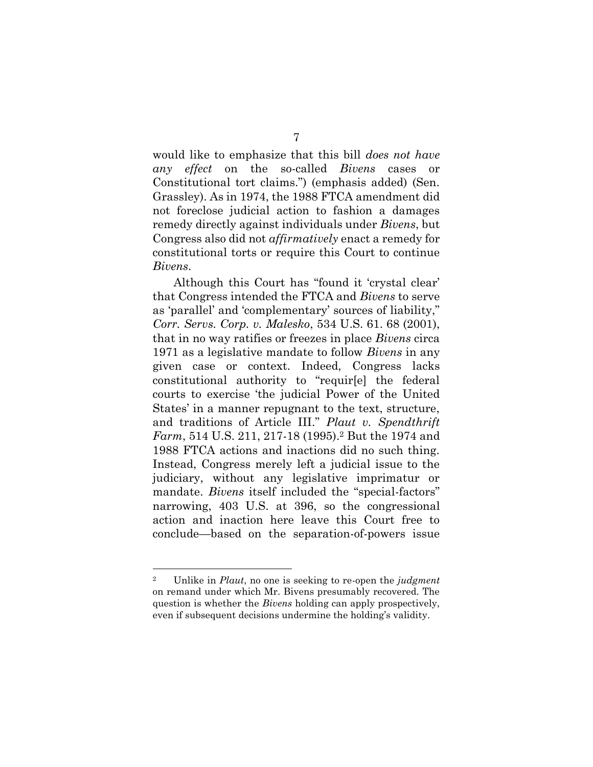would like to emphasize that this bill *does not have any effect* on the so-called *Bivens* cases or Constitutional tort claims.") (emphasis added) (Sen. Grassley). As in 1974, the 1988 FTCA amendment did not foreclose judicial action to fashion a damages remedy directly against individuals under *Bivens*, but Congress also did not *affirmatively* enact a remedy for constitutional torts or require this Court to continue *Bivens*.

Although this Court has "found it 'crystal clear' that Congress intended the FTCA and *Bivens* to serve as 'parallel' and 'complementary' sources of liability," *Corr. Servs. Corp. v. Malesko*, 534 U.S. 61. 68 (2001), that in no way ratifies or freezes in place *Bivens* circa 1971 as a legislative mandate to follow *Bivens* in any given case or context. Indeed, Congress lacks constitutional authority to "requir[e] the federal courts to exercise 'the judicial Power of the United States' in a manner repugnant to the text, structure, and traditions of Article III." *Plaut v. Spendthrift Farm*, 514 U.S. 211, 217-18 (1995).<sup>2</sup> But the 1974 and 1988 FTCA actions and inactions did no such thing. Instead, Congress merely left a judicial issue to the judiciary, without any legislative imprimatur or mandate. *Bivens* itself included the "special-factors" narrowing, 403 U.S. at 396, so the congressional action and inaction here leave this Court free to conclude—based on the separation-of-powers issue

<sup>2</sup> Unlike in *Plaut*, no one is seeking to re-open the *judgment* on remand under which Mr. Bivens presumably recovered. The question is whether the *Bivens* holding can apply prospectively, even if subsequent decisions undermine the holding's validity.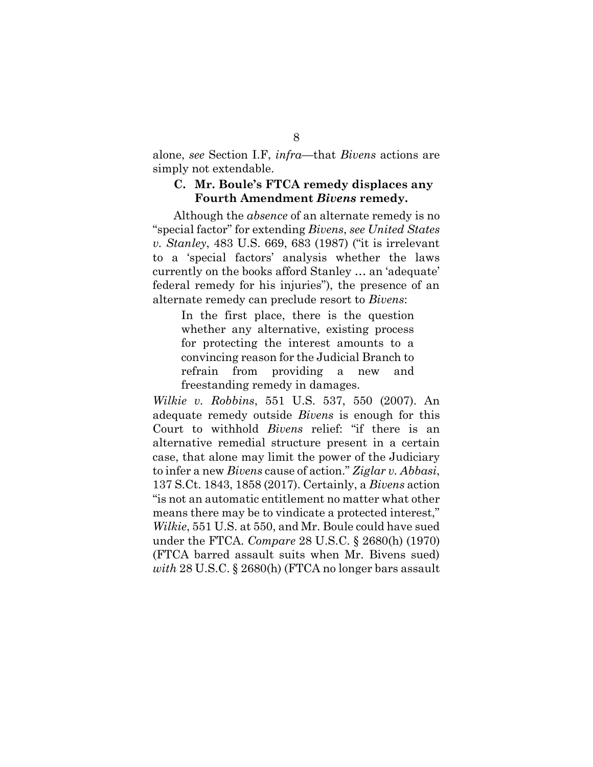alone, *see* Section [I.F,](#page-15-1) *infra*—that *Bivens* actions are simply not extendable.

### <span id="page-13-0"></span>**C. Mr. Boule's FTCA remedy displaces any Fourth Amendment** *Bivens* **remedy.**

Although the *absence* of an alternate remedy is no "special factor" for extending *Bivens*, *see United States v. Stanley*, 483 U.S. 669, 683 (1987) ("it is irrelevant to a 'special factors' analysis whether the laws currently on the books afford Stanley … an 'adequate' federal remedy for his injuries"), the presence of an alternate remedy can preclude resort to *Bivens*:

In the first place, there is the question whether any alternative, existing process for protecting the interest amounts to a convincing reason for the Judicial Branch to refrain from providing a new and freestanding remedy in damages.

*Wilkie v. Robbins*, 551 U.S. 537, 550 (2007). An adequate remedy outside *Bivens* is enough for this Court to withhold *Bivens* relief: "if there is an alternative remedial structure present in a certain case, that alone may limit the power of the Judiciary to infer a new *Bivens* cause of action." *Ziglar v. Abbasi*, 137 S.Ct. 1843, 1858 (2017). Certainly, a *Bivens* action "is not an automatic entitlement no matter what other means there may be to vindicate a protected interest," *Wilkie*, 551 U.S. at 550, and Mr. Boule could have sued under the FTCA. *Compare* 28 U.S.C. § 2680(h) (1970) (FTCA barred assault suits when Mr. Bivens sued) *with* 28 U.S.C. § 2680(h) (FTCA no longer bars assault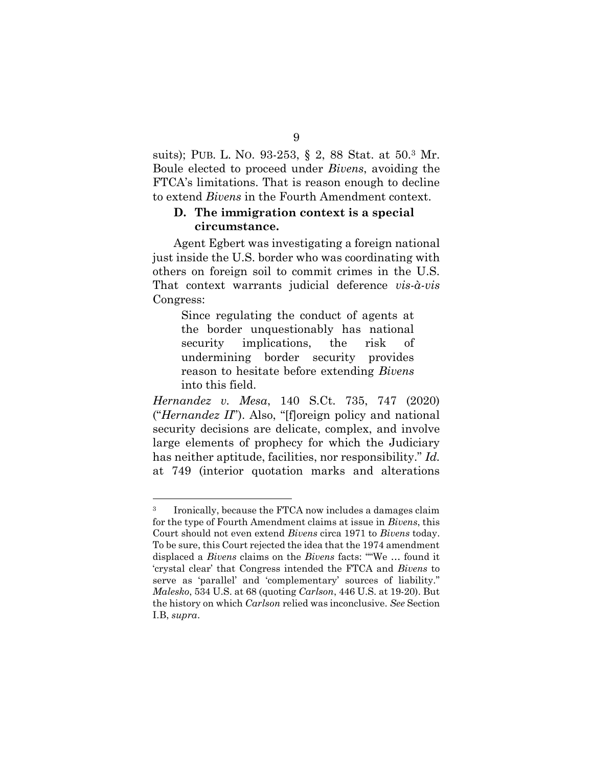suits); PUB. L. NO. 93-253, § 2, 88 Stat. at 50.<sup>3</sup> Mr. Boule elected to proceed under *Bivens*, avoiding the FTCA's limitations. That is reason enough to decline to extend *Bivens* in the Fourth Amendment context.

## <span id="page-14-0"></span>**D. The immigration context is a special circumstance.**

Agent Egbert was investigating a foreign national just inside the U.S. border who was coordinating with others on foreign soil to commit crimes in the U.S. That context warrants judicial deference *vis-à-vis* Congress:

Since regulating the conduct of agents at the border unquestionably has national security implications, the risk of undermining border security provides reason to hesitate before extending *Bivens* into this field.

*Hernandez v. Mesa*, 140 S.Ct. 735, 747 (2020) ("*Hernandez II*"). Also, "[f]oreign policy and national security decisions are delicate, complex, and involve large elements of prophecy for which the Judiciary has neither aptitude, facilities, nor responsibility." *Id.* at 749 (interior quotation marks and alterations

<sup>3</sup> Ironically, because the FTCA now includes a damages claim for the type of Fourth Amendment claims at issue in *Bivens*, this Court should not even extend *Bivens* circa 1971 to *Bivens* today. To be sure, this Court rejected the idea that the 1974 amendment displaced a *Bivens* claims on the *Bivens* facts: ""We … found it 'crystal clear' that Congress intended the FTCA and *Bivens* to serve as 'parallel' and 'complementary' sources of liability." *Malesko*, 534 U.S. at 68 (quoting *Carlson*, 446 U.S. at 19-20). But the history on which *Carlson* relied was inconclusive. *See* Section [I.B,](#page-9-0) *supra*.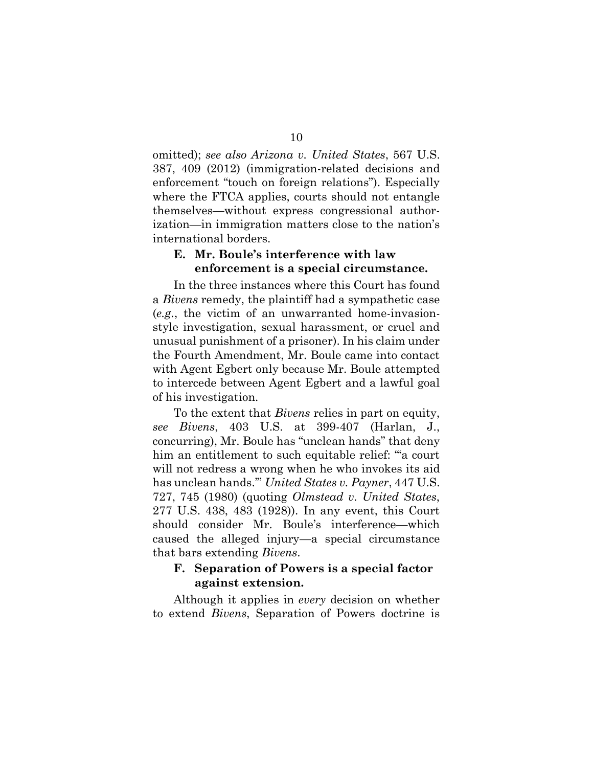omitted); *see also Arizona v. United States*, 567 U.S. 387, 409 (2012) (immigration-related decisions and enforcement "touch on foreign relations"). Especially where the FTCA applies, courts should not entangle themselves—without express congressional authorization—in immigration matters close to the nation's international borders.

### <span id="page-15-0"></span>**E. Mr. Boule's interference with law enforcement is a special circumstance.**

In the three instances where this Court has found a *Bivens* remedy, the plaintiff had a sympathetic case (*e.g.*, the victim of an unwarranted home-invasionstyle investigation, sexual harassment, or cruel and unusual punishment of a prisoner). In his claim under the Fourth Amendment, Mr. Boule came into contact with Agent Egbert only because Mr. Boule attempted to intercede between Agent Egbert and a lawful goal of his investigation.

To the extent that *Bivens* relies in part on equity, *see Bivens*, 403 U.S. at 399-407 (Harlan, J., concurring), Mr. Boule has "unclean hands" that deny him an entitlement to such equitable relief: "a court will not redress a wrong when he who invokes its aid has unclean hands.'" *United States v. Payner*, 447 U.S. 727, 745 (1980) (quoting *Olmstead v. United States*, 277 U.S. 438, 483 (1928)). In any event, this Court should consider Mr. Boule's interference—which caused the alleged injury—a special circumstance that bars extending *Bivens*.

## <span id="page-15-1"></span>**F. Separation of Powers is a special factor against extension.**

Although it applies in *every* decision on whether to extend *Bivens*, Separation of Powers doctrine is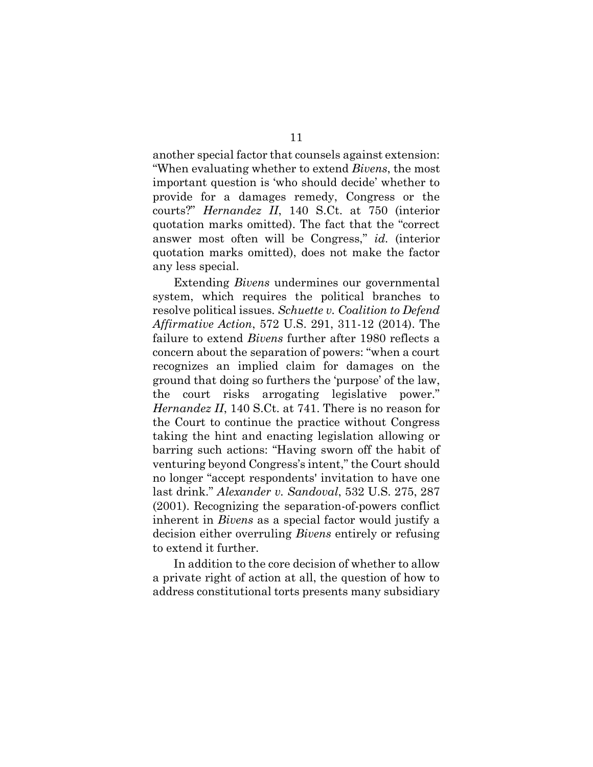another special factor that counsels against extension: "When evaluating whether to extend *Bivens*, the most important question is 'who should decide' whether to provide for a damages remedy, Congress or the courts?" *Hernandez II*, 140 S.Ct. at 750 (interior quotation marks omitted). The fact that the "correct answer most often will be Congress," *id.* (interior quotation marks omitted), does not make the factor any less special.

Extending *Bivens* undermines our governmental system, which requires the political branches to resolve political issues. *Schuette v. Coalition to Defend Affirmative Action*, 572 U.S. 291, 311-12 (2014). The failure to extend *Bivens* further after 1980 reflects a concern about the separation of powers: "when a court recognizes an implied claim for damages on the ground that doing so furthers the 'purpose' of the law, the court risks arrogating legislative power." *Hernandez II*, 140 S.Ct. at 741. There is no reason for the Court to continue the practice without Congress taking the hint and enacting legislation allowing or barring such actions: "Having sworn off the habit of venturing beyond Congress's intent," the Court should no longer "accept respondents' invitation to have one last drink." *Alexander v. Sandoval*, 532 U.S. 275, 287 (2001). Recognizing the separation-of-powers conflict inherent in *Bivens* as a special factor would justify a decision either overruling *Bivens* entirely or refusing to extend it further.

In addition to the core decision of whether to allow a private right of action at all, the question of how to address constitutional torts presents many subsidiary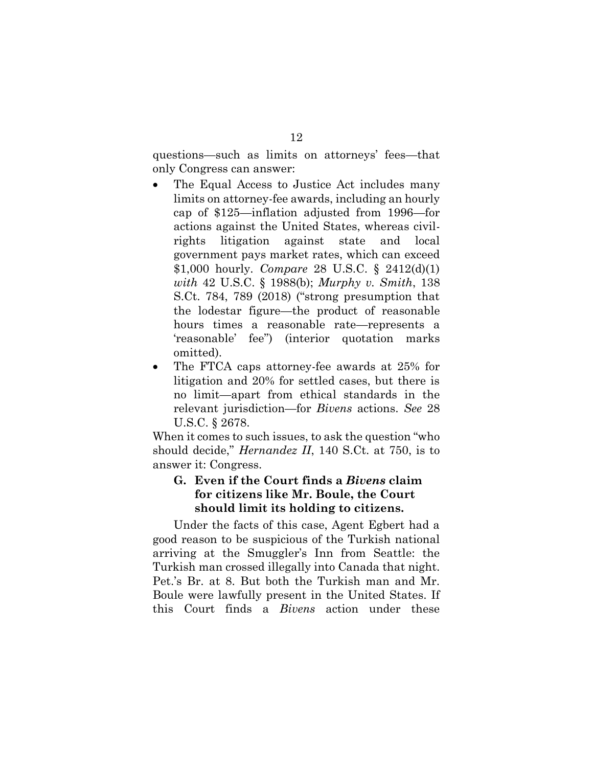questions—such as limits on attorneys' fees—that only Congress can answer:

- The Equal Access to Justice Act includes many limits on attorney-fee awards, including an hourly cap of \$125—inflation adjusted from 1996—for actions against the United States, whereas civilrights litigation against state and local government pays market rates, which can exceed \$1,000 hourly. *Compare* 28 U.S.C. § 2412(d)(1) *with* 42 U.S.C. § 1988(b); *Murphy v. Smith*, 138 S.Ct. 784, 789 (2018) ("strong presumption that the lodestar figure—the product of reasonable hours times a reasonable rate—represents a 'reasonable' fee") (interior quotation marks omitted).
- The FTCA caps attorney-fee awards at 25% for litigation and 20% for settled cases, but there is no limit—apart from ethical standards in the relevant jurisdiction—for *Bivens* actions. *See* 28 U.S.C. § 2678.

When it comes to such issues, to ask the question "who should decide," *Hernandez II*, 140 S.Ct. at 750, is to answer it: Congress.

# <span id="page-17-0"></span>**G. Even if the Court finds a** *Bivens* **claim for citizens like Mr. Boule, the Court should limit its holding to citizens.**

Under the facts of this case, Agent Egbert had a good reason to be suspicious of the Turkish national arriving at the Smuggler's Inn from Seattle: the Turkish man crossed illegally into Canada that night. Pet.'s Br. at 8. But both the Turkish man and Mr. Boule were lawfully present in the United States. If this Court finds a *Bivens* action under these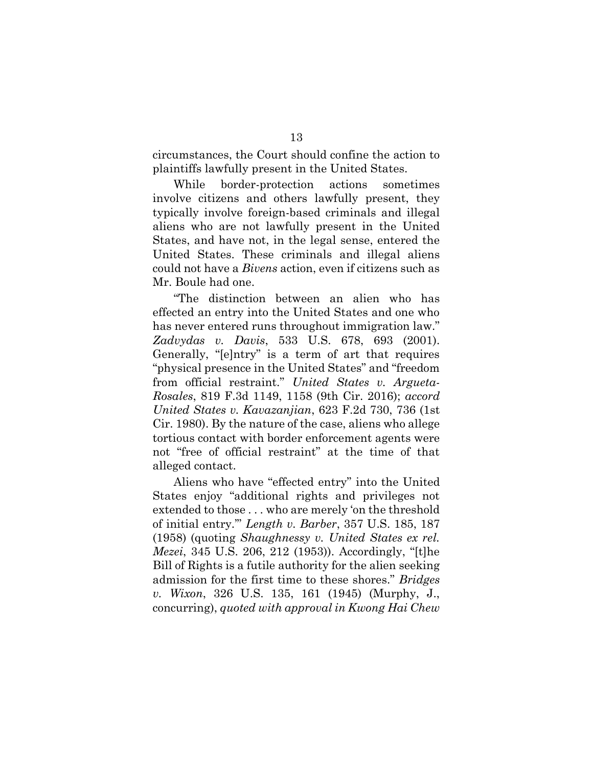circumstances, the Court should confine the action to plaintiffs lawfully present in the United States.

While border-protection actions sometimes involve citizens and others lawfully present, they typically involve foreign-based criminals and illegal aliens who are not lawfully present in the United States, and have not, in the legal sense, entered the United States. These criminals and illegal aliens could not have a *Bivens* action, even if citizens such as Mr. Boule had one.

"The distinction between an alien who has effected an entry into the United States and one who has never entered runs throughout immigration law." *Zadvydas v. Davis*, 533 U.S. 678, 693 (2001). Generally, "[e]ntry" is a term of art that requires "physical presence in the United States" and "freedom from official restraint." *United States v. Argueta-Rosales*, 819 F.3d 1149, 1158 (9th Cir. 2016); *accord United States v. Kavazanjian*, 623 F.2d 730, 736 (1st Cir. 1980). By the nature of the case, aliens who allege tortious contact with border enforcement agents were not "free of official restraint" at the time of that alleged contact.

Aliens who have "effected entry" into the United States enjoy "additional rights and privileges not extended to those . . . who are merely 'on the threshold of initial entry.'" *Length v. Barber*, 357 U.S. 185, 187 (1958) (quoting *Shaughnessy v. United States ex rel. Mezei*, 345 U.S. 206, 212 (1953)). Accordingly, "[t]he Bill of Rights is a futile authority for the alien seeking admission for the first time to these shores." *Bridges v. Wixon*, 326 U.S. 135, 161 (1945) (Murphy, J., concurring), *quoted with approval in Kwong Hai Chew*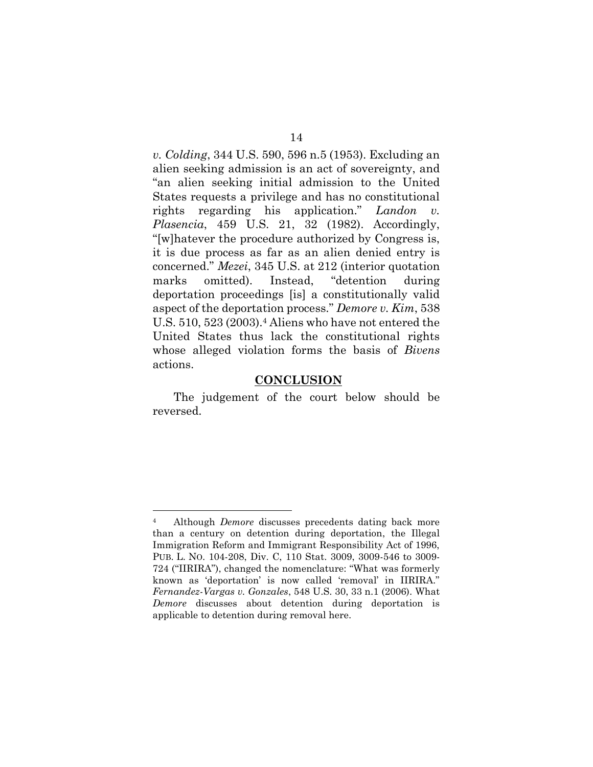*v. Colding*, 344 U.S. 590, 596 n.5 (1953). Excluding an alien seeking admission is an act of sovereignty, and "an alien seeking initial admission to the United States requests a privilege and has no constitutional rights regarding his application." *Landon v. Plasencia*, 459 U.S. 21, 32 (1982). Accordingly, "[w]hatever the procedure authorized by Congress is, it is due process as far as an alien denied entry is concerned." *Mezei*, 345 U.S. at 212 (interior quotation marks omitted). Instead, "detention during deportation proceedings [is] a constitutionally valid aspect of the deportation process." *Demore v. Kim*, 538 U.S. 510, 523 (2003).<sup>4</sup> Aliens who have not entered the United States thus lack the constitutional rights whose alleged violation forms the basis of *Bivens* actions.

### **CONCLUSION**

The judgement of the court below should be reversed.

<sup>4</sup> Although *Demore* discusses precedents dating back more than a century on detention during deportation, the Illegal Immigration Reform and Immigrant Responsibility Act of 1996, PUB. L. NO. 104-208, Div. C, 110 Stat. 3009, 3009-546 to 3009- 724 ("IIRIRA"), changed the nomenclature: "What was formerly known as 'deportation' is now called 'removal' in IIRIRA." *Fernandez-Vargas v. Gonzales*, 548 U.S. 30, 33 n.1 (2006). What *Demore* discusses about detention during deportation is applicable to detention during removal here.